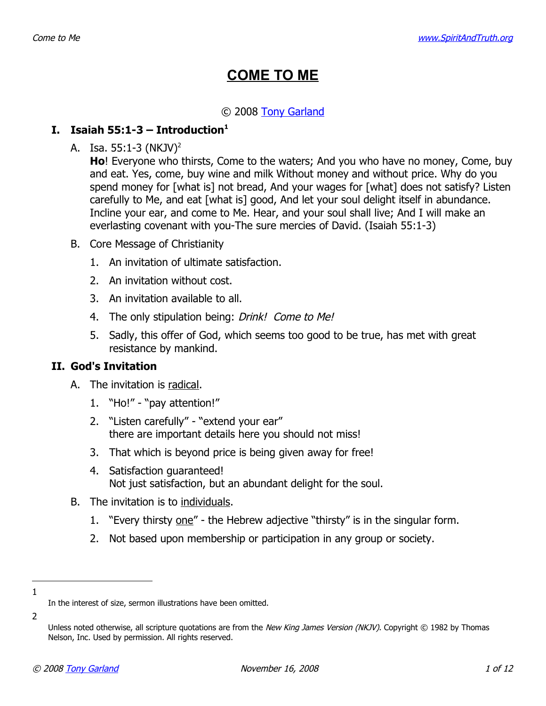# **COME TO ME**

## © 2008 [Tony Garland](http://www.SpiritAndTruth.org/id/tg.htm)

## **I. Isaiah 55:[1](#page-0-0)-3 – Introduction**<sup>1</sup>

A. Isa.  $55:1-3$  (NKJV)<sup>[2](#page-0-1)</sup>

**Ho**! Everyone who thirsts, Come to the waters; And you who have no money, Come, buy and eat. Yes, come, buy wine and milk Without money and without price. Why do you spend money for [what is] not bread, And your wages for [what] does not satisfy? Listen carefully to Me, and eat [what is] good, And let your soul delight itself in abundance. Incline your ear, and come to Me. Hear, and your soul shall live; And I will make an everlasting covenant with you-The sure mercies of David. (Isaiah 55:1-3)

- B. Core Message of Christianity
	- 1. An invitation of ultimate satisfaction.
	- 2. An invitation without cost.
	- 3. An invitation available to all.
	- 4. The only stipulation being: Drink! Come to Me!
	- 5. Sadly, this offer of God, which seems too good to be true, has met with great resistance by mankind.

#### **II. God's Invitation**

- A. The invitation is radical.
	- 1. "Ho!" "pay attention!"
	- 2. "Listen carefully" "extend your ear" there are important details here you should not miss!
	- 3. That which is beyond price is being given away for free!
	- 4. Satisfaction guaranteed! Not just satisfaction, but an abundant delight for the soul.
- B. The invitation is to individuals.
	- 1. "Every thirsty one" the Hebrew adjective "thirsty" is in the singular form.
	- 2. Not based upon membership or participation in any group or society.
- 1

<span id="page-0-0"></span>In the interest of size, sermon illustrations have been omitted.

<sup>2</sup>

<span id="page-0-1"></span>Unless noted otherwise, all scripture quotations are from the New King James Version (NKJV). Copyright © 1982 by Thomas Nelson, Inc. Used by permission. All rights reserved.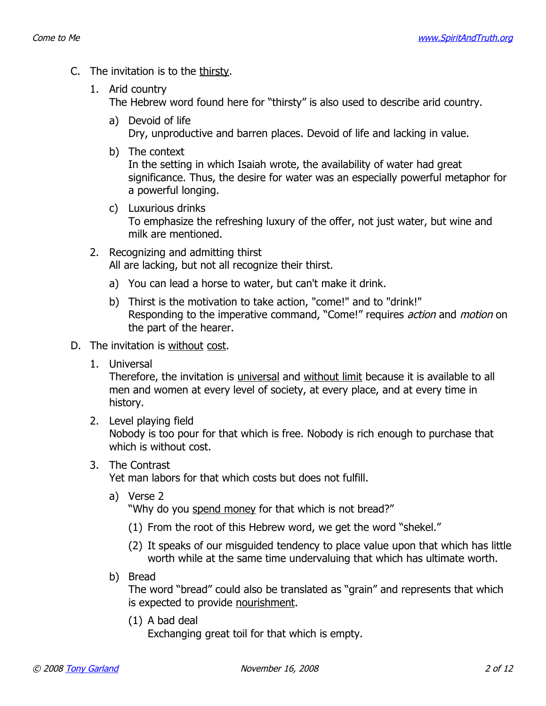- C. The invitation is to the thirsty.
	- 1. Arid country

The Hebrew word found here for "thirsty" is also used to describe arid country.

- a) Devoid of life Dry, unproductive and barren places. Devoid of life and lacking in value.
- b) The context

In the setting in which Isaiah wrote, the availability of water had great significance. Thus, the desire for water was an especially powerful metaphor for a powerful longing.

- c) Luxurious drinks To emphasize the refreshing luxury of the offer, not just water, but wine and milk are mentioned.
- 2. Recognizing and admitting thirst All are lacking, but not all recognize their thirst.
	- a) You can lead a horse to water, but can't make it drink.
	- b) Thirst is the motivation to take action, "come!" and to "drink!" Responding to the imperative command, "Come!" requires *action* and *motion* on the part of the hearer.
- D. The invitation is without cost.
	- 1. Universal

Therefore, the invitation is *universal* and without limit because it is available to all men and women at every level of society, at every place, and at every time in history.

2. Level playing field

Nobody is too pour for that which is free. Nobody is rich enough to purchase that which is without cost.

3. The Contrast

Yet man labors for that which costs but does not fulfill.

a) Verse 2

"Why do you spend money for that which is not bread?"

- (1) From the root of this Hebrew word, we get the word "shekel."
- (2) It speaks of our misguided tendency to place value upon that which has little worth while at the same time undervaluing that which has ultimate worth.
- b) Bread

The word "bread" could also be translated as "grain" and represents that which is expected to provide nourishment.

(1) A bad deal

Exchanging great toil for that which is empty.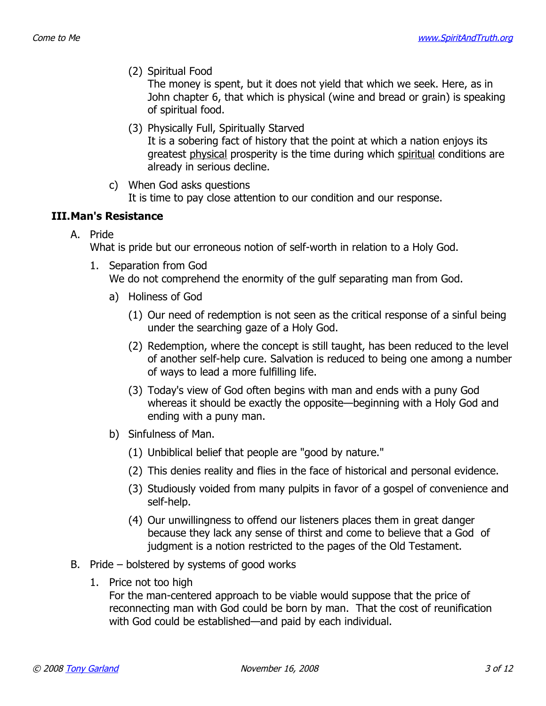(2) Spiritual Food

The money is spent, but it does not yield that which we seek. Here, as in John chapter 6, that which is physical (wine and bread or grain) is speaking of spiritual food.

- (3) Physically Full, Spiritually Starved It is a sobering fact of history that the point at which a nation enjoys its greatest physical prosperity is the time during which spiritual conditions are already in serious decline.
- c) When God asks questions It is time to pay close attention to our condition and our response.

#### **III.Man's Resistance**

A. Pride

What is pride but our erroneous notion of self-worth in relation to a Holy God.

- 1. Separation from God We do not comprehend the enormity of the gulf separating man from God.
	- a) Holiness of God
		- (1) Our need of redemption is not seen as the critical response of a sinful being under the searching gaze of a Holy God.
		- (2) Redemption, where the concept is still taught, has been reduced to the level of another self-help cure. Salvation is reduced to being one among a number of ways to lead a more fulfilling life.
		- (3) Today's view of God often begins with man and ends with a puny God whereas it should be exactly the opposite—beginning with a Holy God and ending with a puny man.
	- b) Sinfulness of Man.
		- (1) Unbiblical belief that people are "good by nature."
		- (2) This denies reality and flies in the face of historical and personal evidence.
		- (3) Studiously voided from many pulpits in favor of a gospel of convenience and self-help.
		- (4) Our unwillingness to offend our listeners places them in great danger because they lack any sense of thirst and come to believe that a God of judgment is a notion restricted to the pages of the Old Testament.
- B. Pride bolstered by systems of good works
	- 1. Price not too high

For the man-centered approach to be viable would suppose that the price of reconnecting man with God could be born by man. That the cost of reunification with God could be established—and paid by each individual.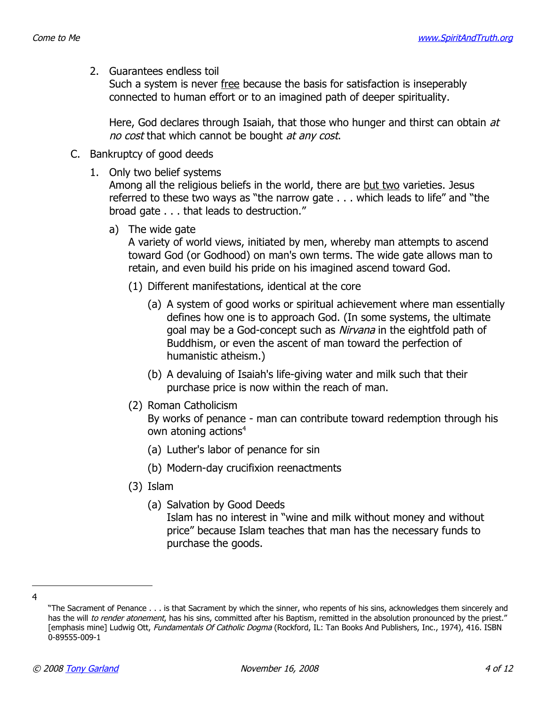2. Guarantees endless toil

Such a system is never free because the basis for satisfaction is inseperably connected to human effort or to an imagined path of deeper spirituality.

Here, God declares through Isaiah, that those who hunger and thirst can obtain at no cost that which cannot be bought at any cost.

- C. Bankruptcy of good deeds
	- 1. Only two belief systems

Among all the religious beliefs in the world, there are but two varieties. Jesus referred to these two ways as "the narrow gate . . . which leads to life" and "the broad gate . . . that leads to destruction."

a) The wide gate

A variety of world views, initiated by men, whereby man attempts to ascend toward God (or Godhood) on man's own terms. The wide gate allows man to retain, and even build his pride on his imagined ascend toward God.

- (1) Different manifestations, identical at the core
	- (a) A system of good works or spiritual achievement where man essentially defines how one is to approach God. (In some systems, the ultimate goal may be a God-concept such as *Nirvana* in the eightfold path of Buddhism, or even the ascent of man toward the perfection of humanistic atheism.)
	- (b) A devaluing of Isaiah's life-giving water and milk such that their purchase price is now within the reach of man.
- (2) Roman Catholicism

By works of penance - man can contribute toward redemption through his own atoning actions<sup>[4](#page-3-0)</sup>

- (a) Luther's labor of penance for sin
- (b) Modern-day crucifixion reenactments
- (3) Islam
	- (a) Salvation by Good Deeds

Islam has no interest in "wine and milk without money and without price" because Islam teaches that man has the necessary funds to purchase the goods.

<sup>4</sup>

<span id="page-3-0"></span><sup>&</sup>quot;The Sacrament of Penance . . . is that Sacrament by which the sinner, who repents of his sins, acknowledges them sincerely and has the will to render atonement, has his sins, committed after his Baptism, remitted in the absolution pronounced by the priest." [emphasis mine] Ludwig Ott, Fundamentals Of Catholic Dogma (Rockford, IL: Tan Books And Publishers, Inc., 1974), 416. ISBN 0-89555-009-1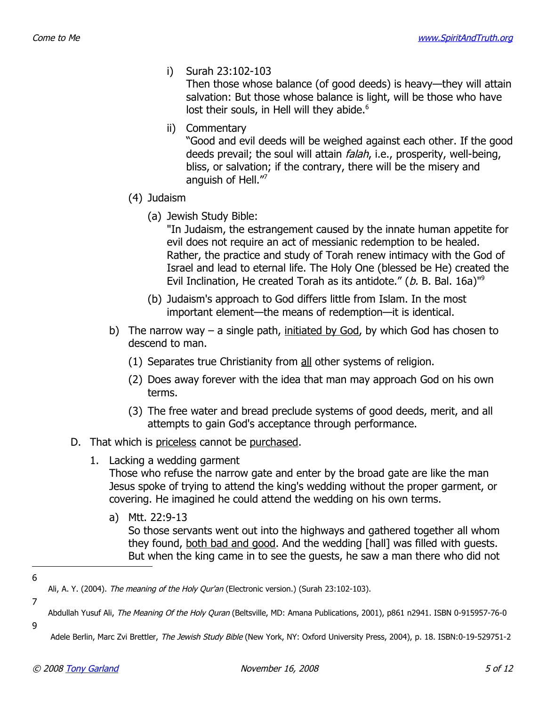i) Surah 23:102-103

Then those whose balance (of good deeds) is heavy—they will attain salvation: But those whose balance is light, will be those who have lost their souls, in Hell will they abide.<sup>[6](#page-4-0)</sup>

ii) Commentary

"Good and evil deeds will be weighed against each other. If the good deeds prevail; the soul will attain *falah*, i.e., prosperity, well-being, bliss, or salvation; if the contrary, there will be the misery and anguish of Hell."[7](#page-4-1)

- (4) Judaism
	- (a) Jewish Study Bible:

"In Judaism, the estrangement caused by the innate human appetite for evil does not require an act of messianic redemption to be healed. Rather, the practice and study of Torah renew intimacy with the God of Israel and lead to eternal life. The Holy One (blessed be He) created the Evil Inclination, He created Torah as its antidote." (b. B. Bal. 16a)<sup>1[9](#page-4-2)</sup>

- (b) Judaism's approach to God differs little from Islam. In the most important element—the means of redemption—it is identical.
- b) The narrow way a single path, initiated by God, by which God has chosen to descend to man.
	- (1) Separates true Christianity from all other systems of religion.
	- (2) Does away forever with the idea that man may approach God on his own terms.
	- (3) The free water and bread preclude systems of good deeds, merit, and all attempts to gain God's acceptance through performance.
- D. That which is priceless cannot be purchased.
	- 1. Lacking a wedding garment

Those who refuse the narrow gate and enter by the broad gate are like the man Jesus spoke of trying to attend the king's wedding without the proper garment, or covering. He imagined he could attend the wedding on his own terms.

a) Mtt. 22:9-13

So those servants went out into the highways and gathered together all whom they found, both bad and good. And the wedding [hall] was filled with guests. But when the king came in to see the guests, he saw a man there who did not

6

7

9

<span id="page-4-1"></span><span id="page-4-0"></span>Ali, A. Y. (2004). The meaning of the Holy Qur'an (Electronic version.) (Surah 23:102-103).

Abdullah Yusuf Ali, The Meaning Of the Holy Quran (Beltsville, MD: Amana Publications, 2001), p861 n2941. ISBN 0-915957-76-0

<span id="page-4-2"></span>Adele Berlin, Marc Zvi Brettler, The Jewish Study Bible (New York, NY: Oxford University Press, 2004), p. 18. ISBN:0-19-529751-2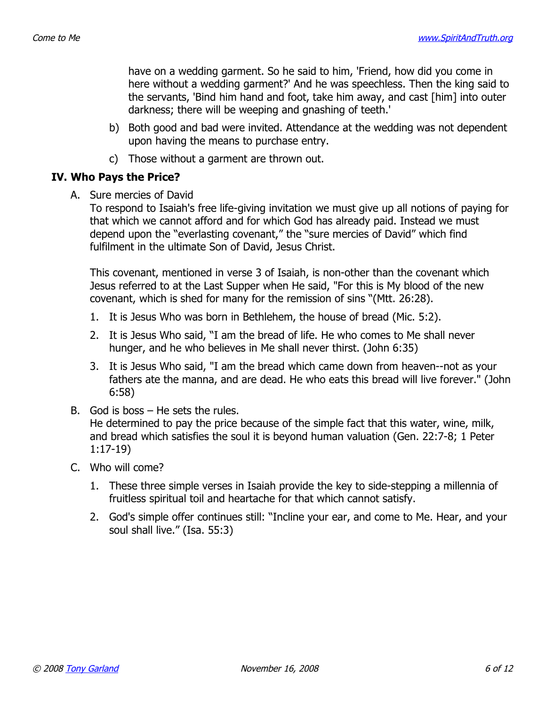have on a wedding garment. So he said to him, 'Friend, how did you come in here without a wedding garment?' And he was speechless. Then the king said to the servants, 'Bind him hand and foot, take him away, and cast [him] into outer darkness; there will be weeping and gnashing of teeth.'

- b) Both good and bad were invited. Attendance at the wedding was not dependent upon having the means to purchase entry.
- c) Those without a garment are thrown out.

#### **IV. Who Pays the Price?**

A. Sure mercies of David

To respond to Isaiah's free life-giving invitation we must give up all notions of paying for that which we cannot afford and for which God has already paid. Instead we must depend upon the "everlasting covenant," the "sure mercies of David" which find fulfilment in the ultimate Son of David, Jesus Christ.

This covenant, mentioned in verse 3 of Isaiah, is non-other than the covenant which Jesus referred to at the Last Supper when He said, "For this is My blood of the new covenant, which is shed for many for the remission of sins "(Mtt. 26:28).

- 1. It is Jesus Who was born in Bethlehem, the house of bread (Mic. 5:2).
- 2. It is Jesus Who said, "I am the bread of life. He who comes to Me shall never hunger, and he who believes in Me shall never thirst. (John 6:35)
- 3. It is Jesus Who said, "I am the bread which came down from heaven--not as your fathers ate the manna, and are dead. He who eats this bread will live forever." (John 6:58)
- B. God is boss He sets the rules. He determined to pay the price because of the simple fact that this water, wine, milk, and bread which satisfies the soul it is beyond human valuation (Gen. 22:7-8; 1 Peter 1:17-19)
- C. Who will come?
	- 1. These three simple verses in Isaiah provide the key to side-stepping a millennia of fruitless spiritual toil and heartache for that which cannot satisfy.
	- 2. God's simple offer continues still: "Incline your ear, and come to Me. Hear, and your soul shall live." (Isa. 55:3)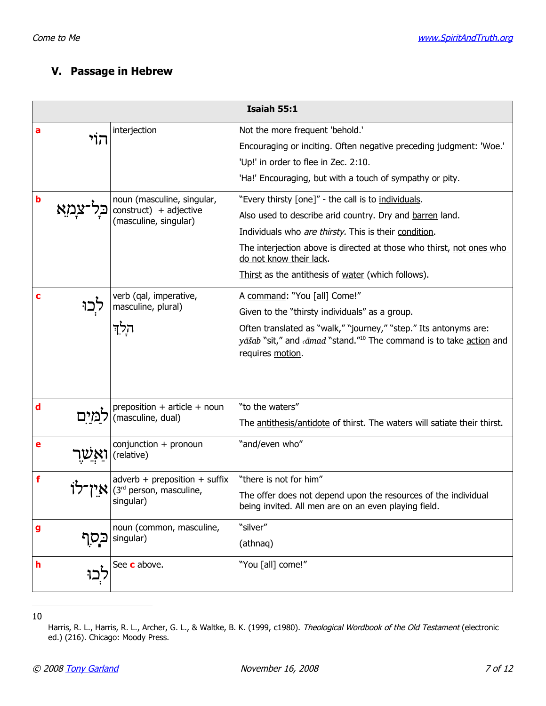## **V. Passage in Hebrew**

|   | Isaiah 55:1                |                                                                                     |                                                                                                                                                                         |  |
|---|----------------------------|-------------------------------------------------------------------------------------|-------------------------------------------------------------------------------------------------------------------------------------------------------------------------|--|
| а | הוי                        | interjection                                                                        | Not the more frequent 'behold.'                                                                                                                                         |  |
|   |                            |                                                                                     | Encouraging or inciting. Often negative preceding judgment: 'Woe.'                                                                                                      |  |
|   |                            |                                                                                     | 'Up!' in order to flee in Zec. 2:10.                                                                                                                                    |  |
|   |                            |                                                                                     | 'Ha!' Encouraging, but with a touch of sympathy or pity.                                                                                                                |  |
| b | noun (masculine, singular, | "Every thirsty [one]" - the call is to individuals.                                 |                                                                                                                                                                         |  |
|   |                            | construct) + adjective<br>(masculine, singular)                                     | Also used to describe arid country. Dry and barren land.                                                                                                                |  |
|   |                            |                                                                                     | Individuals who are thirsty. This is their condition.                                                                                                                   |  |
|   |                            |                                                                                     | The interjection above is directed at those who thirst, not ones who<br>do not know their lack.                                                                         |  |
|   |                            |                                                                                     | Thirst as the antithesis of water (which follows).                                                                                                                      |  |
| c |                            | verb (qal, imperative,                                                              | A command: "You [all] Come!"                                                                                                                                            |  |
|   |                            | masculine, plural)                                                                  | Given to the "thirsty individuals" as a group.                                                                                                                          |  |
|   |                            | הלִד                                                                                | Often translated as "walk," "journey," "step." Its antonyms are:<br>yāšab "sit," and «āmad "stand." <sup>10</sup> The command is to take action and<br>requires motion. |  |
| d |                            | preposition + article + noun<br>(masculine, dual)                                   | "to the waters"                                                                                                                                                         |  |
|   |                            |                                                                                     | The antithesis/antidote of thirst. The waters will satiate their thirst.                                                                                                |  |
| е |                            | $conjunction + pronoun$<br>(relative)                                               | "and/even who"                                                                                                                                                          |  |
| f |                            | $adverb + preposition + suffix$<br>(3 <sup>rd</sup> person, masculine,<br>singular) | "there is not for him"                                                                                                                                                  |  |
|   |                            |                                                                                     | The offer does not depend upon the resources of the individual<br>being invited. All men are on an even playing field.                                                  |  |
| g | בַּסְף<br>singular)        | noun (common, masculine,                                                            | "silver"                                                                                                                                                                |  |
|   |                            |                                                                                     | (athnaq)                                                                                                                                                                |  |
| h | יְכוּ                      | See c above.                                                                        | "You [all] come!"                                                                                                                                                       |  |

10

<span id="page-6-0"></span>Harris, R. L., Harris, R. L., Archer, G. L., & Waltke, B. K. (1999, c1980). Theological Wordbook of the Old Testament (electronic ed.) (216). Chicago: Moody Press.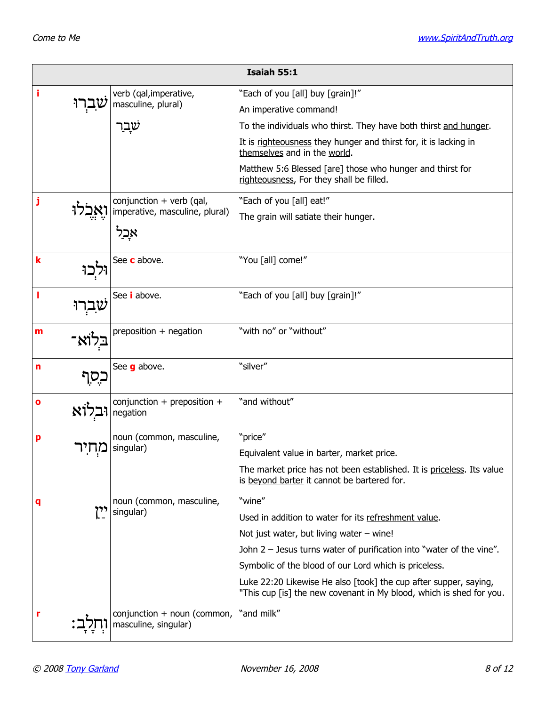| Isaiah 55:1 |                                                       |                                                                                                                                         |
|-------------|-------------------------------------------------------|-----------------------------------------------------------------------------------------------------------------------------------------|
| i           | verb (qal, imperative,                                | "Each of you [all] buy [grain]!"                                                                                                        |
|             | masculine, plural)                                    | An imperative command!                                                                                                                  |
|             |                                                       | To the individuals who thirst. They have both thirst and hunger.                                                                        |
|             |                                                       | It is righteousness they hunger and thirst for, it is lacking in<br>themselves and in the world.                                        |
|             |                                                       | Matthew 5:6 Blessed [are] those who hunger and thirst for<br>righteousness, For they shall be filled.                                   |
| j           | conjunction $+$ verb (qal,                            | "Each of you [all] eat!"                                                                                                                |
|             | imperative, masculine, plural)                        | The grain will satiate their hunger.                                                                                                    |
|             | אַבל                                                  |                                                                                                                                         |
| k           | See c above.                                          | "You [all] come!"                                                                                                                       |
|             |                                                       |                                                                                                                                         |
| I<br>ברו    | See <i>i</i> above.                                   | "Each of you [all] buy [grain]!"                                                                                                        |
| m           | preposition + negation                                | "with no" or "without"                                                                                                                  |
|             |                                                       |                                                                                                                                         |
| n<br>כִסְף  | See <b>g</b> above.                                   | "silver"                                                                                                                                |
| o<br>717):  | conjunction + preposition +<br>negation               | "and without"                                                                                                                           |
|             |                                                       |                                                                                                                                         |
| p           | noun (common, masculine,<br>singular)                 | "price"                                                                                                                                 |
|             |                                                       | Equivalent value in barter, market price.                                                                                               |
|             |                                                       | The market price has not been established. It is priceless. Its value<br>is beyond barter it cannot be bartered for.                    |
| q           | noun (common, masculine,<br>יין<br>-<br>singular)     | "wine"                                                                                                                                  |
|             |                                                       | Used in addition to water for its refreshment value.                                                                                    |
|             |                                                       | Not just water, but living water $-$ wine!                                                                                              |
|             |                                                       | John $2$ – Jesus turns water of purification into "water of the vine".                                                                  |
|             |                                                       | Symbolic of the blood of our Lord which is priceless.                                                                                   |
|             |                                                       | Luke 22:20 Likewise He also [took] the cup after supper, saying,<br>"This cup [is] the new covenant in My blood, which is shed for you. |
| r           | conjunction $+$ noun (common,<br>masculine, singular) | "and milk"                                                                                                                              |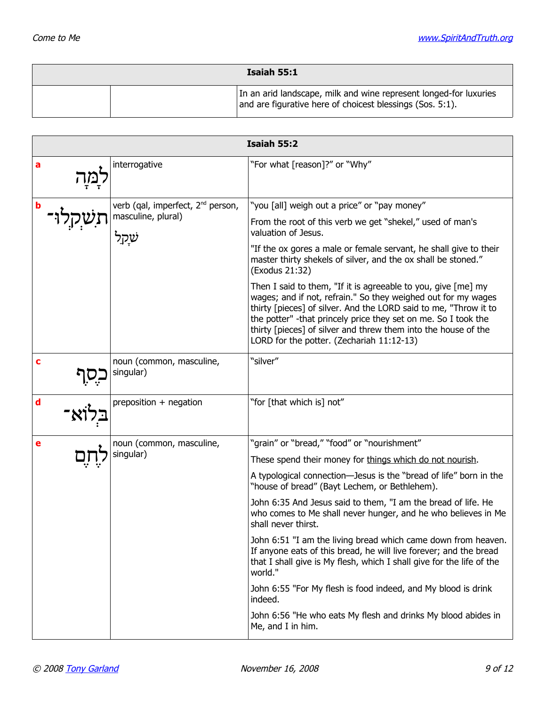| Isaiah 55:1 |  |                                                                                                                                |
|-------------|--|--------------------------------------------------------------------------------------------------------------------------------|
|             |  | In an arid landscape, milk and wine represent longed-for luxuries<br>and are figurative here of choicest blessings (Sos. 5:1). |

| <b>Isaiah 55:2</b> |                                                                     |                                                                                                                                                                                                                                                                                                                                                                                                                                                                                                                                                                                                                                                                                                                                                                                    |  |
|--------------------|---------------------------------------------------------------------|------------------------------------------------------------------------------------------------------------------------------------------------------------------------------------------------------------------------------------------------------------------------------------------------------------------------------------------------------------------------------------------------------------------------------------------------------------------------------------------------------------------------------------------------------------------------------------------------------------------------------------------------------------------------------------------------------------------------------------------------------------------------------------|--|
| a                  | interrogative                                                       | "For what [reason]?" or "Why"                                                                                                                                                                                                                                                                                                                                                                                                                                                                                                                                                                                                                                                                                                                                                      |  |
| b                  | verb (qal, imperfect, 2 <sup>nd</sup> person,<br>masculine, plural) | "you [all] weigh out a price" or "pay money"<br>From the root of this verb we get "shekel," used of man's<br>valuation of Jesus.<br>"If the ox gores a male or female servant, he shall give to their<br>master thirty shekels of silver, and the ox shall be stoned."<br>(Exodus 21:32)<br>Then I said to them, "If it is agreeable to you, give $[me]$ my<br>wages; and if not, refrain." So they weighed out for my wages<br>thirty [pieces] of silver. And the LORD said to me, "Throw it to<br>the potter" -that princely price they set on me. So I took the<br>thirty [pieces] of silver and threw them into the house of the<br>LORD for the potter. (Zechariah 11:12-13)                                                                                                  |  |
| c                  | noun (common, masculine,<br>singular)                               | "silver"                                                                                                                                                                                                                                                                                                                                                                                                                                                                                                                                                                                                                                                                                                                                                                           |  |
| d                  | preposition + negation                                              | "for [that which is] not"                                                                                                                                                                                                                                                                                                                                                                                                                                                                                                                                                                                                                                                                                                                                                          |  |
| е                  | noun (common, masculine,<br>singular)                               | "grain" or "bread," "food" or "nourishment"<br>These spend their money for things which do not nourish.<br>A typological connection-Jesus is the "bread of life" born in the<br>"house of bread" (Bayt Lechem, or Bethlehem).<br>John 6:35 And Jesus said to them, "I am the bread of life. He<br>who comes to Me shall never hunger, and he who believes in Me<br>shall never thirst.<br>John 6:51 "I am the living bread which came down from heaven.<br>If anyone eats of this bread, he will live forever; and the bread<br>that I shall give is My flesh, which I shall give for the life of the<br>world."<br>John 6:55 "For My flesh is food indeed, and My blood is drink<br>indeed.<br>John 6:56 "He who eats My flesh and drinks My blood abides in<br>Me, and I in him. |  |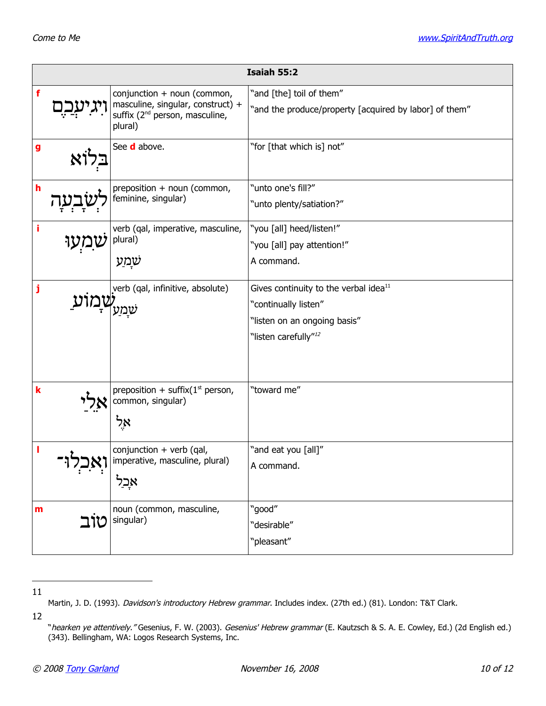| Isaiah 55:2 |          |                                                                                                                           |                                                                                                                                               |
|-------------|----------|---------------------------------------------------------------------------------------------------------------------------|-----------------------------------------------------------------------------------------------------------------------------------------------|
| f           |          | conjunction + noun (common,<br>masculine, singular, construct) +<br>suffix (2 <sup>nd</sup> person, masculine,<br>plural) | "and [the] toil of them"<br>"and the produce/property [acquired by labor] of them"                                                            |
| g           |          | See <b>d</b> above.                                                                                                       | "for [that which is] not"                                                                                                                     |
| $\mathbf h$ |          | preposition + noun (common,<br>feminine, singular)                                                                        | "unto one's fill?"<br>"unto plenty/satiation?"                                                                                                |
| i           |          | verb (qal, imperative, masculine,<br>plural)<br>שַמַע                                                                     | "you [all] heed/listen!"<br>"you [all] pay attention!"<br>A command.                                                                          |
| j           |          | verb (qal, infinitive, absolute)<br>שמע                                                                                   | Gives continuity to the verbal idea <sup>11</sup><br>"continually listen"<br>"listen on an ongoing basis"<br>"listen carefully" <sup>12</sup> |
| $\mathbf k$ |          | preposition + suffix $(1st$ person,<br>common, singular)<br>אָל                                                           | "toward me"                                                                                                                                   |
|             | اجدیہے ہ | conjunction + verb (qal,<br>imperative, masculine, plural)<br>אָבל                                                        | "and eat you [all]"<br>A command.                                                                                                             |
| m           | טוב      | noun (common, masculine,<br>singular)                                                                                     | "good"<br>"desirable"<br>"pleasant"                                                                                                           |

11

12

<span id="page-9-1"></span><span id="page-9-0"></span>Martin, J. D. (1993). Davidson's introductory Hebrew grammar. Includes index. (27th ed.) (81). London: T&T Clark.

<sup>&</sup>quot;hearken ye attentively." Gesenius, F. W. (2003). Gesenius' Hebrew grammar (E. Kautzsch & S. A. E. Cowley, Ed.) (2d English ed.) (343). Bellingham, WA: Logos Research Systems, Inc.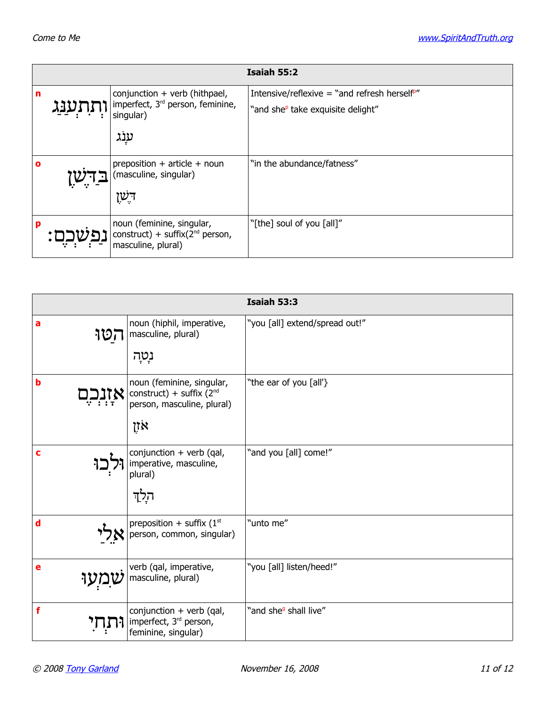|   | Isaiah 55:2  |                                                                                                      |                                                                                              |  |
|---|--------------|------------------------------------------------------------------------------------------------------|----------------------------------------------------------------------------------------------|--|
| n | <u>התענג</u> | conjunction $+$ verb (hithpael,<br>imperfect, 3 <sup>rd</sup> person, feminine,<br>singular)<br>ענַג | Intensive/reflexive = "and refresh herself"<br>"and she <sup>p</sup> take exquisite delight" |  |
| O |              | preposition $+$ article $+$ noun<br>(masculine, singular)<br>ּרְשָׁן                                 | "in the abundance/fatness"                                                                   |  |
| p |              | noun (feminine, singular,<br>construct) + suffix( $2nd$ person,<br>masculine, plural)                | "[the] soul of you [all]"                                                                    |  |

|          |                                                                                              | <b>Isaiah 53:3</b>                |
|----------|----------------------------------------------------------------------------------------------|-----------------------------------|
| a<br>קטו | noun (hiphil, imperative,<br>masculine, plural)                                              | "you [all] extend/spread out!"    |
|          | נְטְה                                                                                        |                                   |
| b        | noun (feminine, singular,<br>construct) + suffix $(2nd$<br>person, masculine, plural)<br>אזן | "the ear of you [all'}            |
| c        | conjunction + verb (qal,<br>imperative, masculine,<br>plural)<br>הַלַד                       | "and you [all] come!"             |
| d        | preposition + suffix $(1st$<br>person, common, singular)                                     | "unto me"                         |
| е        | verb (qal, imperative,<br>masculine, plural)                                                 | "you [all] listen/heed!"          |
| f        | conjunction + verb (qal,<br>imperfect, 3 <sup>rd</sup> person,<br>feminine, singular)        | "and she <sup>g</sup> shall live" |